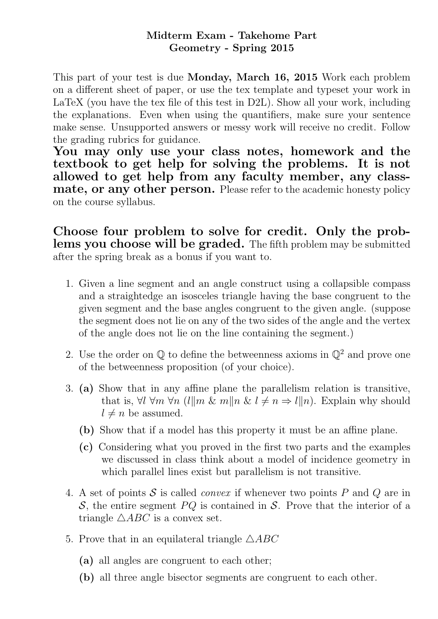## Midterm Exam - Takehome Part Geometry - Spring 2015

This part of your test is due Monday, March 16, 2015 Work each problem on a different sheet of paper, or use the tex template and typeset your work in LaTeX (you have the tex file of this test in D2L). Show all your work, including the explanations. Even when using the quantifiers, make sure your sentence make sense. Unsupported answers or messy work will receive no credit. Follow the grading rubrics for guidance.

You may only use your class notes, homework and the textbook to get help for solving the problems. It is not allowed to get help from any faculty member, any classmate, or any other person. Please refer to the academic honesty policy on the course syllabus.

Choose four problem to solve for credit. Only the problems you choose will be graded. The fifth problem may be submitted after the spring break as a bonus if you want to.

- 1. Given a line segment and an angle construct using a collapsible compass and a straightedge an isosceles triangle having the base congruent to the given segment and the base angles congruent to the given angle. (suppose the segment does not lie on any of the two sides of the angle and the vertex of the angle does not lie on the line containing the segment.)
- 2. Use the order on  $\mathbb Q$  to define the betweenness axioms in  $\mathbb Q^2$  and prove one of the betweenness proposition (of your choice).
- 3. (a) Show that in any affine plane the parallelism relation is transitive, that is,  $\forall l \ \forall m \ \forall n \ (l || m \ \& \ m || n \ \& \ l \neq n \Rightarrow l || n)$ . Explain why should  $l \neq n$  be assumed.
	- (b) Show that if a model has this property it must be an affine plane.
	- (c) Considering what you proved in the first two parts and the examples we discussed in class think about a model of incidence geometry in which parallel lines exist but parallelism is not transitive.
- 4. A set of points S is called *convex* if whenever two points P and Q are in S, the entire segment  $PQ$  is contained in S. Prove that the interior of a triangle  $\triangle ABC$  is a convex set.
- 5. Prove that in an equilateral triangle  $\triangle ABC$ 
	- (a) all angles are congruent to each other;
	- (b) all three angle bisector segments are congruent to each other.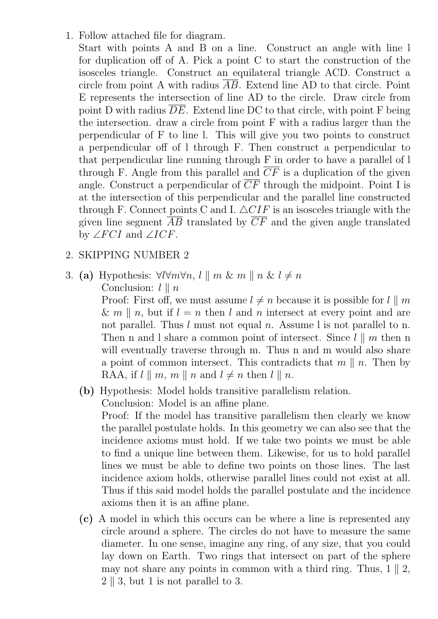1. Follow attached file for diagram.

Start with points A and B on a line. Construct an angle with line l for duplication off of A. Pick a point C to start the construction of the isosceles triangle. Construct an equilateral triangle ACD. Construct a circle from point A with radius AB. Extend line AD to that circle. Point E represents the intersection of line AD to the circle. Draw circle from point D with radius  $\overline{DE}$ . Extend line DC to that circle, with point F being the intersection. draw a circle from point F with a radius larger than the perpendicular of F to line l. This will give you two points to construct a perpendicular off of l through F. Then construct a perpendicular to that perpendicular line running through F in order to have a parallel of l through F. Angle from this parallel and  $\overline{CF}$  is a duplication of the given angle. Construct a perpendicular of  $\overline{CF}$  through the midpoint. Point I is at the intersection of this perpendicular and the parallel line constructed through F. Connect points C and I.  $\triangle CIF$  is an isosceles triangle with the given line segment  $\overline{AB}$  translated by  $\overline{CF}$  and the given angle translated by  $\angle FCI$  and  $\angle ICF$ .

## 2. SKIPPING NUMBER 2

3. (a) Hypothesis:  $\forall l \forall m \forall n, l \parallel m \& m \parallel n \& l \neq n$ Conclusion:  $l \parallel n$ 

> Proof: First off, we must assume  $l \neq n$  because it is possible for  $l \parallel m$ & m || n, but if  $l = n$  then l and n intersect at every point and are not parallel. Thus l must not equal n. Assume l is not parallel to n. Then n and l share a common point of intersect. Since  $l \parallel m$  then n will eventually traverse through m. Thus n and m would also share a point of common intersect. This contradicts that  $m \parallel n$ . Then by RAA, if  $l \parallel m$ ,  $m \parallel n$  and  $l \neq n$  then  $l \parallel n$ .

(b) Hypothesis: Model holds transitive parallelism relation. Conclusion: Model is an affine plane.

Proof: If the model has transitive parallelism then clearly we know the parallel postulate holds. In this geometry we can also see that the incidence axioms must hold. If we take two points we must be able to find a unique line between them. Likewise, for us to hold parallel lines we must be able to define two points on those lines. The last incidence axiom holds, otherwise parallel lines could not exist at all. Thus if this said model holds the parallel postulate and the incidence axioms then it is an affine plane.

(c) A model in which this occurs can be where a line is represented any circle around a sphere. The circles do not have to measure the same diameter. In one sense, imagine any ring, of any size, that you could lay down on Earth. Two rings that intersect on part of the sphere may not share any points in common with a third ring. Thus,  $1 \parallel 2$ ,  $2 \parallel 3$ , but 1 is not parallel to 3.